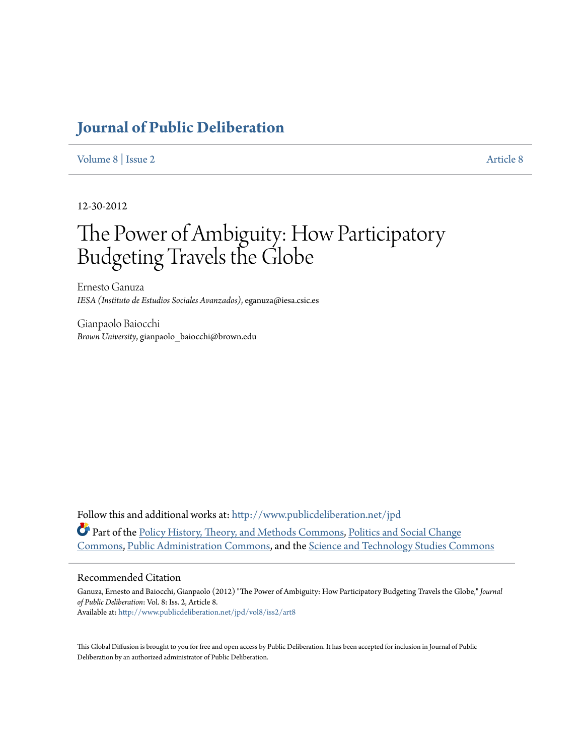# **[Journal of Public Deliberation](http://www.publicdeliberation.net/jpd?utm_source=www.publicdeliberation.net%2Fjpd%2Fvol8%2Fiss2%2Fart8&utm_medium=PDF&utm_campaign=PDFCoverPages)**

#### [Volume 8](http://www.publicdeliberation.net/jpd/vol8?utm_source=www.publicdeliberation.net%2Fjpd%2Fvol8%2Fiss2%2Fart8&utm_medium=PDF&utm_campaign=PDFCoverPages) | [Issue 2](http://www.publicdeliberation.net/jpd/vol8/iss2?utm_source=www.publicdeliberation.net%2Fjpd%2Fvol8%2Fiss2%2Fart8&utm_medium=PDF&utm_campaign=PDFCoverPages) [Article 8](http://www.publicdeliberation.net/jpd/vol8/iss2/art8?utm_source=www.publicdeliberation.net%2Fjpd%2Fvol8%2Fiss2%2Fart8&utm_medium=PDF&utm_campaign=PDFCoverPages)

12-30-2012

# The Power of Ambiguity: How Participatory Budgeting Travels the Globe

Ernesto Ganuza *IESA (Instituto de Estudios Sociales Avanzados)*, eganuza@iesa.csic.es

Gianpaolo Baiocchi *Brown University*, gianpaolo\_baiocchi@brown.edu

Follow this and additional works at: [http://www.publicdeliberation.net/jpd](http://www.publicdeliberation.net/jpd?utm_source=www.publicdeliberation.net%2Fjpd%2Fvol8%2Fiss2%2Fart8&utm_medium=PDF&utm_campaign=PDFCoverPages) Part of the [Policy History, Theory, and Methods Commons,](http://network.bepress.com/hgg/discipline/1036?utm_source=www.publicdeliberation.net%2Fjpd%2Fvol8%2Fiss2%2Fart8&utm_medium=PDF&utm_campaign=PDFCoverPages) [Politics and Social Change](http://network.bepress.com/hgg/discipline/425?utm_source=www.publicdeliberation.net%2Fjpd%2Fvol8%2Fiss2%2Fart8&utm_medium=PDF&utm_campaign=PDFCoverPages) [Commons,](http://network.bepress.com/hgg/discipline/425?utm_source=www.publicdeliberation.net%2Fjpd%2Fvol8%2Fiss2%2Fart8&utm_medium=PDF&utm_campaign=PDFCoverPages) [Public Administration Commons](http://network.bepress.com/hgg/discipline/398?utm_source=www.publicdeliberation.net%2Fjpd%2Fvol8%2Fiss2%2Fart8&utm_medium=PDF&utm_campaign=PDFCoverPages), and the [Science and Technology Studies Commons](http://network.bepress.com/hgg/discipline/435?utm_source=www.publicdeliberation.net%2Fjpd%2Fvol8%2Fiss2%2Fart8&utm_medium=PDF&utm_campaign=PDFCoverPages)

#### Recommended Citation

Ganuza, Ernesto and Baiocchi, Gianpaolo (2012) "The Power of Ambiguity: How Participatory Budgeting Travels the Globe," *Journal of Public Deliberation*: Vol. 8: Iss. 2, Article 8. Available at: [http://www.publicdeliberation.net/jpd/vol8/iss2/art8](http://www.publicdeliberation.net/jpd/vol8/iss2/art8?utm_source=www.publicdeliberation.net%2Fjpd%2Fvol8%2Fiss2%2Fart8&utm_medium=PDF&utm_campaign=PDFCoverPages)

This Global Diffusion is brought to you for free and open access by Public Deliberation. It has been accepted for inclusion in Journal of Public Deliberation by an authorized administrator of Public Deliberation.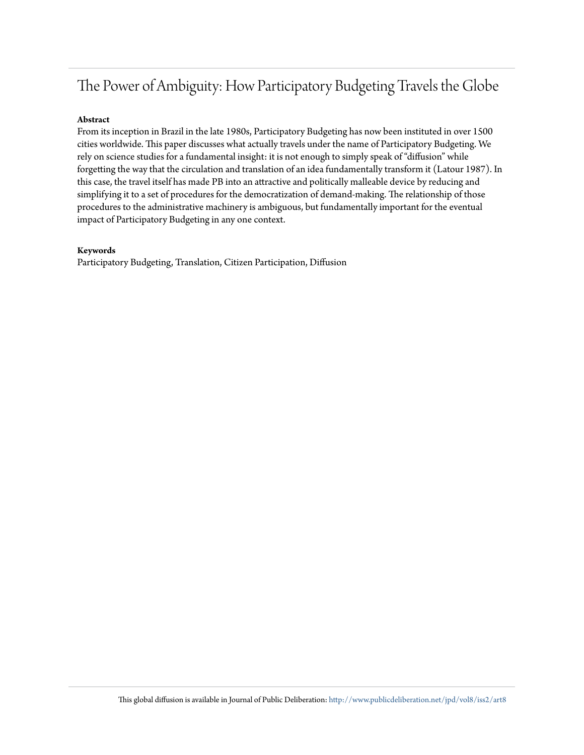# The Power of Ambiguity: How Participatory Budgeting Travels the Globe

#### **Abstract**

From its inception in Brazil in the late 1980s, Participatory Budgeting has now been instituted in over 1500 cities worldwide. This paper discusses what actually travels under the name of Participatory Budgeting. We rely on science studies for a fundamental insight: it is not enough to simply speak of "diffusion" while forgetting the way that the circulation and translation of an idea fundamentally transform it (Latour 1987). In this case, the travel itself has made PB into an attractive and politically malleable device by reducing and simplifying it to a set of procedures for the democratization of demand-making. The relationship of those procedures to the administrative machinery is ambiguous, but fundamentally important for the eventual impact of Participatory Budgeting in any one context.

#### **Keywords**

Participatory Budgeting, Translation, Citizen Participation, Diffusion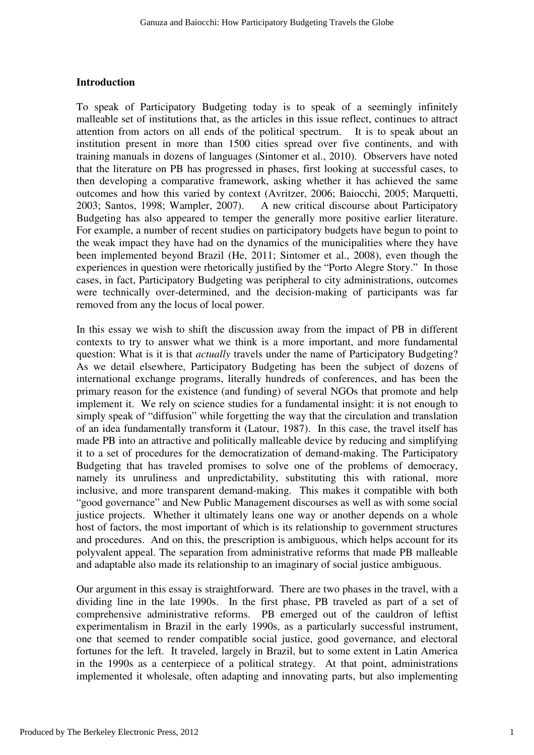#### **Introduction**

To speak of Participatory Budgeting today is to speak of a seemingly infinitely malleable set of institutions that, as the articles in this issue reflect, continues to attract attention from actors on all ends of the political spectrum. It is to speak about an institution present in more than 1500 cities spread over five continents, and with training manuals in dozens of languages (Sintomer et al., 2010). Observers have noted that the literature on PB has progressed in phases, first looking at successful cases, to then developing a comparative framework, asking whether it has achieved the same outcomes and how this varied by context (Avritzer, 2006; Baiocchi, 2005; Marquetti, 2003; Santos, 1998; Wampler, 2007). A new critical discourse about Participatory Budgeting has also appeared to temper the generally more positive earlier literature. For example, a number of recent studies on participatory budgets have begun to point to the weak impact they have had on the dynamics of the municipalities where they have been implemented beyond Brazil (He, 2011; Sintomer et al., 2008), even though the experiences in question were rhetorically justified by the "Porto Alegre Story." In those cases, in fact, Participatory Budgeting was peripheral to city administrations, outcomes were technically over-determined, and the decision-making of participants was far removed from any the locus of local power.

In this essay we wish to shift the discussion away from the impact of PB in different contexts to try to answer what we think is a more important, and more fundamental question: What is it is that *actually* travels under the name of Participatory Budgeting? As we detail elsewhere, Participatory Budgeting has been the subject of dozens of international exchange programs, literally hundreds of conferences, and has been the primary reason for the existence (and funding) of several NGOs that promote and help implement it. We rely on science studies for a fundamental insight: it is not enough to simply speak of "diffusion" while forgetting the way that the circulation and translation of an idea fundamentally transform it (Latour, 1987). In this case, the travel itself has made PB into an attractive and politically malleable device by reducing and simplifying it to a set of procedures for the democratization of demand-making. The Participatory Budgeting that has traveled promises to solve one of the problems of democracy, namely its unruliness and unpredictability, substituting this with rational, more inclusive, and more transparent demand-making. This makes it compatible with both "good governance" and New Public Management discourses as well as with some social justice projects. Whether it ultimately leans one way or another depends on a whole host of factors, the most important of which is its relationship to government structures and procedures. And on this, the prescription is ambiguous, which helps account for its polyvalent appeal. The separation from administrative reforms that made PB malleable and adaptable also made its relationship to an imaginary of social justice ambiguous.

Our argument in this essay is straightforward. There are two phases in the travel, with a dividing line in the late 1990s. In the first phase, PB traveled as part of a set of comprehensive administrative reforms. PB emerged out of the cauldron of leftist experimentalism in Brazil in the early 1990s, as a particularly successful instrument, one that seemed to render compatible social justice, good governance, and electoral fortunes for the left. It traveled, largely in Brazil, but to some extent in Latin America in the 1990s as a centerpiece of a political strategy. At that point, administrations implemented it wholesale, often adapting and innovating parts, but also implementing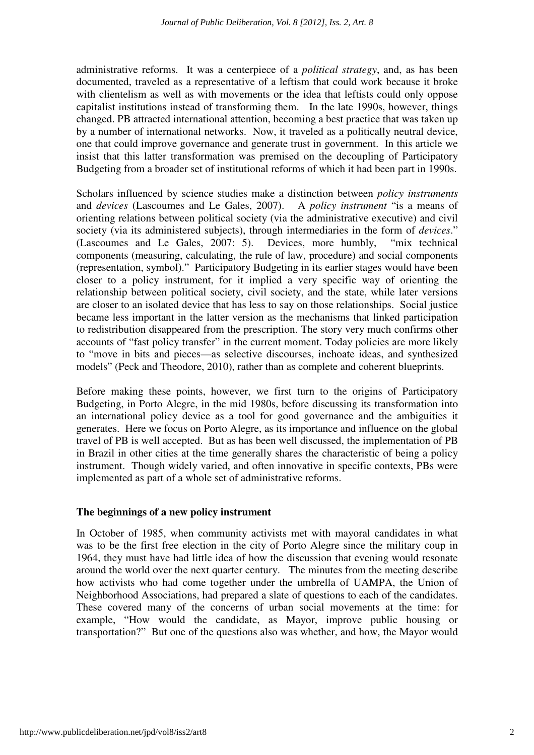administrative reforms. It was a centerpiece of a *political strategy*, and, as has been documented, traveled as a representative of a leftism that could work because it broke with clientelism as well as with movements or the idea that leftists could only oppose capitalist institutions instead of transforming them. In the late 1990s, however, things changed. PB attracted international attention, becoming a best practice that was taken up by a number of international networks. Now, it traveled as a politically neutral device, one that could improve governance and generate trust in government. In this article we insist that this latter transformation was premised on the decoupling of Participatory Budgeting from a broader set of institutional reforms of which it had been part in 1990s.

Scholars influenced by science studies make a distinction between *policy instruments* and *devices* (Lascoumes and Le Gales, 2007). A *policy instrument* "is a means of orienting relations between political society (via the administrative executive) and civil society (via its administered subjects), through intermediaries in the form of *devices*." (Lascoumes and Le Gales, 2007: 5). Devices, more humbly, "mix technical components (measuring, calculating, the rule of law, procedure) and social components (representation, symbol)." Participatory Budgeting in its earlier stages would have been closer to a policy instrument, for it implied a very specific way of orienting the relationship between political society, civil society, and the state, while later versions are closer to an isolated device that has less to say on those relationships. Social justice became less important in the latter version as the mechanisms that linked participation to redistribution disappeared from the prescription. The story very much confirms other accounts of "fast policy transfer" in the current moment. Today policies are more likely to "move in bits and pieces—as selective discourses, inchoate ideas, and synthesized models" (Peck and Theodore, 2010), rather than as complete and coherent blueprints.

Before making these points, however, we first turn to the origins of Participatory Budgeting, in Porto Alegre, in the mid 1980s, before discussing its transformation into an international policy device as a tool for good governance and the ambiguities it generates. Here we focus on Porto Alegre, as its importance and influence on the global travel of PB is well accepted. But as has been well discussed, the implementation of PB in Brazil in other cities at the time generally shares the characteristic of being a policy instrument. Though widely varied, and often innovative in specific contexts, PBs were implemented as part of a whole set of administrative reforms.

#### **The beginnings of a new policy instrument**

In October of 1985, when community activists met with mayoral candidates in what was to be the first free election in the city of Porto Alegre since the military coup in 1964, they must have had little idea of how the discussion that evening would resonate around the world over the next quarter century. The minutes from the meeting describe how activists who had come together under the umbrella of UAMPA, the Union of Neighborhood Associations, had prepared a slate of questions to each of the candidates. These covered many of the concerns of urban social movements at the time: for example, "How would the candidate, as Mayor, improve public housing or transportation?" But one of the questions also was whether, and how, the Mayor would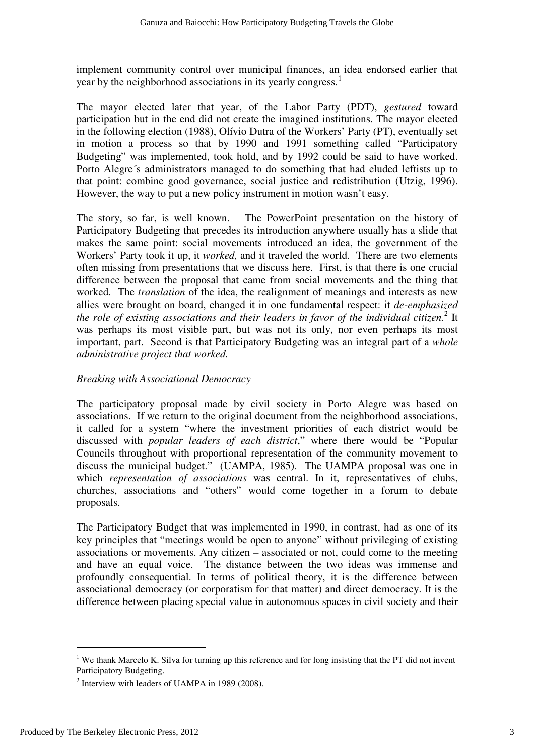implement community control over municipal finances, an idea endorsed earlier that year by the neighborhood associations in its yearly congress.<sup>1</sup>

The mayor elected later that year, of the Labor Party (PDT), *gestured* toward participation but in the end did not create the imagined institutions. The mayor elected in the following election (1988), Olívio Dutra of the Workers' Party (PT), eventually set in motion a process so that by 1990 and 1991 something called "Participatory Budgeting" was implemented, took hold, and by 1992 could be said to have worked. Porto Alegre´s administrators managed to do something that had eluded leftists up to that point: combine good governance, social justice and redistribution (Utzig, 1996). However, the way to put a new policy instrument in motion wasn't easy.

The story, so far, is well known. The PowerPoint presentation on the history of Participatory Budgeting that precedes its introduction anywhere usually has a slide that makes the same point: social movements introduced an idea, the government of the Workers' Party took it up, it *worked,* and it traveled the world. There are two elements often missing from presentations that we discuss here. First, is that there is one crucial difference between the proposal that came from social movements and the thing that worked. The *translation* of the idea, the realignment of meanings and interests as new allies were brought on board, changed it in one fundamental respect: it *de-emphasized*  the role of existing associations and their leaders in favor of the individual citizen.<sup>2</sup> It was perhaps its most visible part, but was not its only, nor even perhaps its most important, part. Second is that Participatory Budgeting was an integral part of a *whole administrative project that worked.* 

## *Breaking with Associational Democracy*

The participatory proposal made by civil society in Porto Alegre was based on associations. If we return to the original document from the neighborhood associations, it called for a system "where the investment priorities of each district would be discussed with *popular leaders of each district*," where there would be "Popular Councils throughout with proportional representation of the community movement to discuss the municipal budget." (UAMPA, 1985). The UAMPA proposal was one in which *representation of associations* was central. In it, representatives of clubs, churches, associations and "others" would come together in a forum to debate proposals.

The Participatory Budget that was implemented in 1990, in contrast, had as one of its key principles that "meetings would be open to anyone" without privileging of existing associations or movements. Any citizen – associated or not, could come to the meeting and have an equal voice. The distance between the two ideas was immense and profoundly consequential. In terms of political theory, it is the difference between associational democracy (or corporatism for that matter) and direct democracy. It is the difference between placing special value in autonomous spaces in civil society and their

<sup>&</sup>lt;sup>1</sup> We thank Marcelo K. Silva for turning up this reference and for long insisting that the PT did not invent Participatory Budgeting.

 $2$  Interview with leaders of UAMPA in 1989 (2008).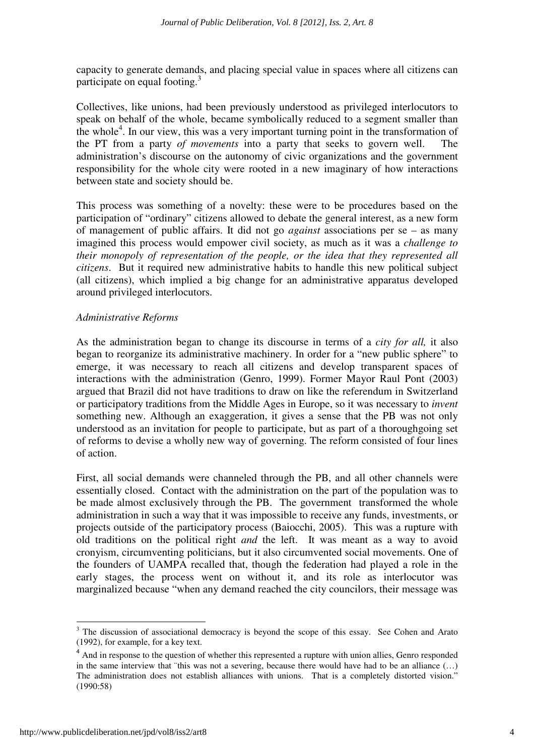capacity to generate demands, and placing special value in spaces where all citizens can participate on equal footing.<sup>3</sup>

Collectives, like unions, had been previously understood as privileged interlocutors to speak on behalf of the whole, became symbolically reduced to a segment smaller than the whole<sup>4</sup>. In our view, this was a very important turning point in the transformation of the PT from a party *of movements* into a party that seeks to govern well. administration's discourse on the autonomy of civic organizations and the government responsibility for the whole city were rooted in a new imaginary of how interactions between state and society should be.

This process was something of a novelty: these were to be procedures based on the participation of "ordinary" citizens allowed to debate the general interest, as a new form of management of public affairs. It did not go *against* associations per se – as many imagined this process would empower civil society, as much as it was a *challenge to their monopoly of representation of the people, or the idea that they represented all citizens*. But it required new administrative habits to handle this new political subject (all citizens), which implied a big change for an administrative apparatus developed around privileged interlocutors.

#### *Administrative Reforms*

As the administration began to change its discourse in terms of a *city for all,* it also began to reorganize its administrative machinery. In order for a "new public sphere" to emerge, it was necessary to reach all citizens and develop transparent spaces of interactions with the administration (Genro, 1999). Former Mayor Raul Pont (2003) argued that Brazil did not have traditions to draw on like the referendum in Switzerland or participatory traditions from the Middle Ages in Europe, so it was necessary to *invent* something new. Although an exaggeration, it gives a sense that the PB was not only understood as an invitation for people to participate, but as part of a thoroughgoing set of reforms to devise a wholly new way of governing. The reform consisted of four lines of action.

First, all social demands were channeled through the PB, and all other channels were essentially closed. Contact with the administration on the part of the population was to be made almost exclusively through the PB. The government transformed the whole administration in such a way that it was impossible to receive any funds, investments, or projects outside of the participatory process (Baiocchi, 2005). This was a rupture with old traditions on the political right *and* the left. It was meant as a way to avoid cronyism, circumventing politicians, but it also circumvented social movements. One of the founders of UAMPA recalled that, though the federation had played a role in the early stages, the process went on without it, and its role as interlocutor was marginalized because "when any demand reached the city councilors, their message was

 $3$  The discussion of associational democracy is beyond the scope of this essay. See Cohen and Arato (1992), for example, for a key text.

<sup>&</sup>lt;sup>4</sup> And in response to the question of whether this represented a rupture with union allies, Genro responded in the same interview that ¨this was not a severing, because there would have had to be an alliance (…) The administration does not establish alliances with unions. That is a completely distorted vision." (1990:58)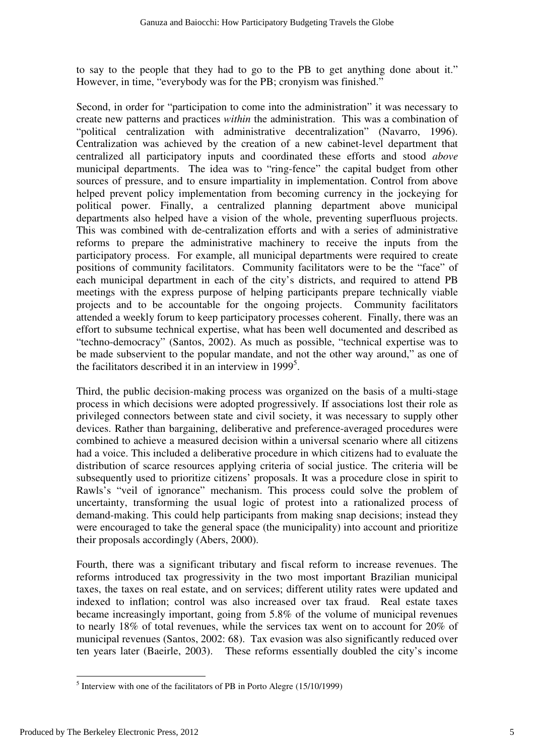to say to the people that they had to go to the PB to get anything done about it." However, in time, "everybody was for the PB; cronyism was finished."

Second, in order for "participation to come into the administration" it was necessary to create new patterns and practices *within* the administration. This was a combination of "political centralization with administrative decentralization" (Navarro, 1996). Centralization was achieved by the creation of a new cabinet-level department that centralized all participatory inputs and coordinated these efforts and stood *above* municipal departments. The idea was to "ring-fence" the capital budget from other sources of pressure, and to ensure impartiality in implementation. Control from above helped prevent policy implementation from becoming currency in the jockeying for political power. Finally, a centralized planning department above municipal departments also helped have a vision of the whole, preventing superfluous projects. This was combined with de-centralization efforts and with a series of administrative reforms to prepare the administrative machinery to receive the inputs from the participatory process. For example, all municipal departments were required to create positions of community facilitators. Community facilitators were to be the "face" of each municipal department in each of the city's districts, and required to attend PB meetings with the express purpose of helping participants prepare technically viable projects and to be accountable for the ongoing projects. Community facilitators attended a weekly forum to keep participatory processes coherent. Finally, there was an effort to subsume technical expertise, what has been well documented and described as "techno-democracy" (Santos, 2002). As much as possible, "technical expertise was to be made subservient to the popular mandate, and not the other way around," as one of the facilitators described it in an interview in  $1999<sup>5</sup>$ .

Third, the public decision-making process was organized on the basis of a multi-stage process in which decisions were adopted progressively. If associations lost their role as privileged connectors between state and civil society, it was necessary to supply other devices. Rather than bargaining, deliberative and preference-averaged procedures were combined to achieve a measured decision within a universal scenario where all citizens had a voice. This included a deliberative procedure in which citizens had to evaluate the distribution of scarce resources applying criteria of social justice. The criteria will be subsequently used to prioritize citizens' proposals. It was a procedure close in spirit to Rawls's "veil of ignorance" mechanism. This process could solve the problem of uncertainty, transforming the usual logic of protest into a rationalized process of demand-making. This could help participants from making snap decisions; instead they were encouraged to take the general space (the municipality) into account and prioritize their proposals accordingly (Abers, 2000).

Fourth, there was a significant tributary and fiscal reform to increase revenues. The reforms introduced tax progressivity in the two most important Brazilian municipal taxes, the taxes on real estate, and on services; different utility rates were updated and indexed to inflation; control was also increased over tax fraud. Real estate taxes became increasingly important, going from 5.8% of the volume of municipal revenues to nearly 18% of total revenues, while the services tax went on to account for 20% of municipal revenues (Santos, 2002: 68). Tax evasion was also significantly reduced over ten years later (Baeirle, 2003). These reforms essentially doubled the city's income

 $<sup>5</sup>$  Interview with one of the facilitators of PB in Porto Alegre (15/10/1999)</sup>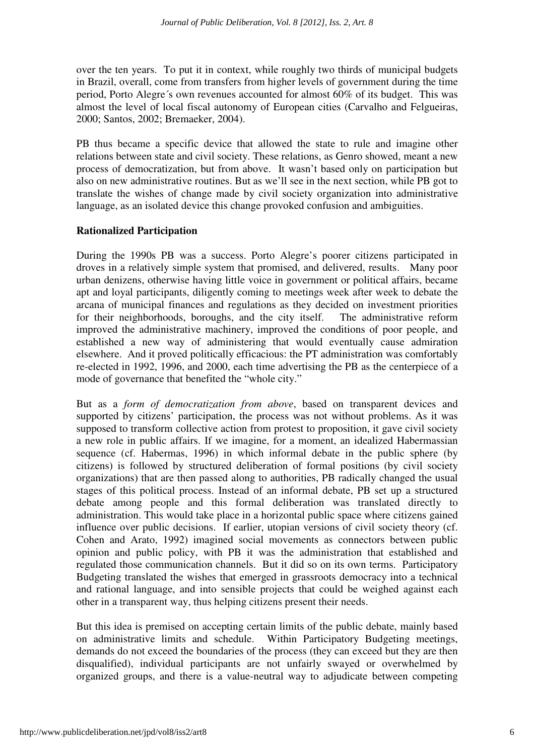over the ten years. To put it in context, while roughly two thirds of municipal budgets in Brazil, overall, come from transfers from higher levels of government during the time period, Porto Alegre´s own revenues accounted for almost 60% of its budget. This was almost the level of local fiscal autonomy of European cities (Carvalho and Felgueiras, 2000; Santos, 2002; Bremaeker, 2004).

PB thus became a specific device that allowed the state to rule and imagine other relations between state and civil society. These relations, as Genro showed, meant a new process of democratization, but from above. It wasn't based only on participation but also on new administrative routines. But as we'll see in the next section, while PB got to translate the wishes of change made by civil society organization into administrative language, as an isolated device this change provoked confusion and ambiguities.

## **Rationalized Participation**

During the 1990s PB was a success. Porto Alegre's poorer citizens participated in droves in a relatively simple system that promised, and delivered, results. Many poor urban denizens, otherwise having little voice in government or political affairs, became apt and loyal participants, diligently coming to meetings week after week to debate the arcana of municipal finances and regulations as they decided on investment priorities for their neighborhoods, boroughs, and the city itself. The administrative reform improved the administrative machinery, improved the conditions of poor people, and established a new way of administering that would eventually cause admiration elsewhere. And it proved politically efficacious: the PT administration was comfortably re-elected in 1992, 1996, and 2000, each time advertising the PB as the centerpiece of a mode of governance that benefited the "whole city."

But as a *form of democratization from above*, based on transparent devices and supported by citizens' participation, the process was not without problems. As it was supposed to transform collective action from protest to proposition, it gave civil society a new role in public affairs. If we imagine, for a moment, an idealized Habermassian sequence (cf. Habermas, 1996) in which informal debate in the public sphere (by citizens) is followed by structured deliberation of formal positions (by civil society organizations) that are then passed along to authorities, PB radically changed the usual stages of this political process. Instead of an informal debate, PB set up a structured debate among people and this formal deliberation was translated directly to administration. This would take place in a horizontal public space where citizens gained influence over public decisions. If earlier, utopian versions of civil society theory (cf. Cohen and Arato, 1992) imagined social movements as connectors between public opinion and public policy, with PB it was the administration that established and regulated those communication channels. But it did so on its own terms. Participatory Budgeting translated the wishes that emerged in grassroots democracy into a technical and rational language, and into sensible projects that could be weighed against each other in a transparent way, thus helping citizens present their needs.

But this idea is premised on accepting certain limits of the public debate, mainly based on administrative limits and schedule. Within Participatory Budgeting meetings, demands do not exceed the boundaries of the process (they can exceed but they are then disqualified), individual participants are not unfairly swayed or overwhelmed by organized groups, and there is a value-neutral way to adjudicate between competing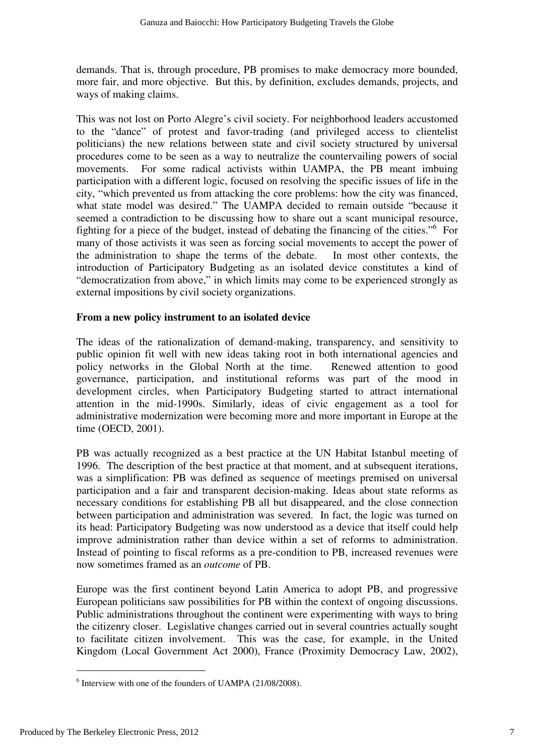demands. That is, through procedure, PB promises to make democracy more bounded, more fair, and more objective. But this, by definition, excludes demands, projects, and ways of making claims.

This was not lost on Porto Alegre's civil society. For neighborhood leaders accustomed to the "dance" of protest and favor-trading (and privileged access to clientelist politicians) the new relations between state and civil society structured by universal procedures come to be seen as a way to neutralize the countervailing powers of social movements. For some radical activists within UAMPA, the PB meant imbuing participation with a different logic, focused on resolving the specific issues of life in the city, "which prevented us from attacking the core problems: how the city was financed, what state model was desired." The UAMPA decided to remain outside "because it seemed a contradiction to be discussing how to share out a scant municipal resource, fighting for a piece of the budget, instead of debating the financing of the cities."<sup>6</sup> For many of those activists it was seen as forcing social movements to accept the power of the administration to shape the terms of the debate. In most other contexts, the introduction of Participatory Budgeting as an isolated device constitutes a kind of "democratization from above," in which limits may come to be experienced strongly as external impositions by civil society organizations.

#### **From a new policy instrument to an isolated device**

The ideas of the rationalization of demand-making, transparency, and sensitivity to public opinion fit well with new ideas taking root in both international agencies and policy networks in the Global North at the time. Renewed attention to good governance, participation, and institutional reforms was part of the mood in development circles, when Participatory Budgeting started to attract international attention in the mid-1990s. Similarly, ideas of civic engagement as a tool for administrative modernization were becoming more and more important in Europe at the time (OECD, 2001).

PB was actually recognized as a best practice at the UN Habitat Istanbul meeting of 1996. The description of the best practice at that moment, and at subsequent iterations, was a simplification: PB was defined as sequence of meetings premised on universal participation and a fair and transparent decision-making. Ideas about state reforms as necessary conditions for establishing PB all but disappeared, and the close connection between participation and administration was severed. In fact, the logic was turned on its head: Participatory Budgeting was now understood as a device that itself could help improve administration rather than device within a set of reforms to administration. Instead of pointing to fiscal reforms as a pre-condition to PB, increased revenues were now sometimes framed as an *outcome* of PB.

Europe was the first continent beyond Latin America to adopt PB, and progressive European politicians saw possibilities for PB within the context of ongoing discussions. Public administrations throughout the continent were experimenting with ways to bring the citizenry closer. Legislative changes carried out in several countries actually sought to facilitate citizen involvement. This was the case, for example, in the United Kingdom (Local Government Act 2000), France (Proximity Democracy Law, 2002),

<sup>&</sup>lt;sup>6</sup> Interview with one of the founders of UAMPA (21/08/2008).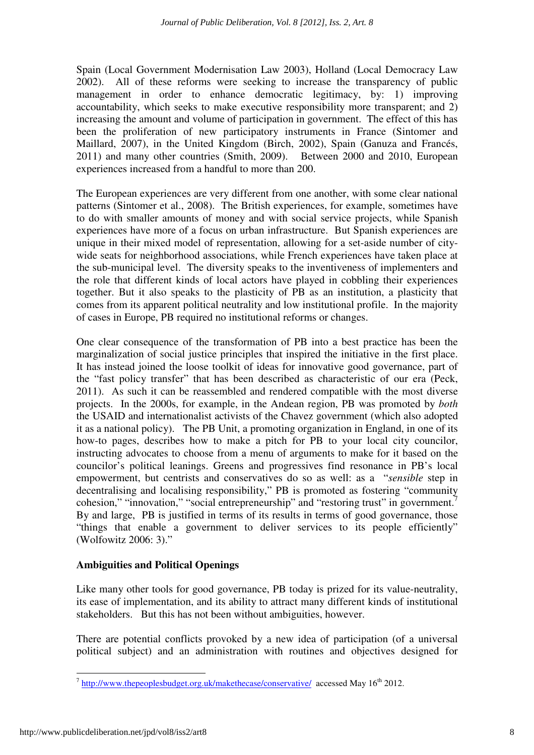Spain (Local Government Modernisation Law 2003), Holland (Local Democracy Law 2002). All of these reforms were seeking to increase the transparency of public management in order to enhance democratic legitimacy, by: 1) improving accountability, which seeks to make executive responsibility more transparent; and 2) increasing the amount and volume of participation in government. The effect of this has been the proliferation of new participatory instruments in France (Sintomer and Maillard, 2007), in the United Kingdom (Birch, 2002), Spain (Ganuza and Francés, 2011) and many other countries (Smith, 2009). Between 2000 and 2010, European experiences increased from a handful to more than 200.

The European experiences are very different from one another, with some clear national patterns (Sintomer et al., 2008). The British experiences, for example, sometimes have to do with smaller amounts of money and with social service projects, while Spanish experiences have more of a focus on urban infrastructure. But Spanish experiences are unique in their mixed model of representation, allowing for a set-aside number of citywide seats for neighborhood associations, while French experiences have taken place at the sub-municipal level. The diversity speaks to the inventiveness of implementers and the role that different kinds of local actors have played in cobbling their experiences together. But it also speaks to the plasticity of PB as an institution, a plasticity that comes from its apparent political neutrality and low institutional profile. In the majority of cases in Europe, PB required no institutional reforms or changes.

One clear consequence of the transformation of PB into a best practice has been the marginalization of social justice principles that inspired the initiative in the first place. It has instead joined the loose toolkit of ideas for innovative good governance, part of the "fast policy transfer" that has been described as characteristic of our era (Peck, 2011). As such it can be reassembled and rendered compatible with the most diverse projects. In the 2000s, for example, in the Andean region, PB was promoted by *both* the USAID and internationalist activists of the Chavez government (which also adopted it as a national policy). The PB Unit, a promoting organization in England, in one of its how-to pages, describes how to make a pitch for PB to your local city councilor, instructing advocates to choose from a menu of arguments to make for it based on the councilor's political leanings. Greens and progressives find resonance in PB's local empowerment, but centrists and conservatives do so as well: as a "*sensible* step in decentralising and localising responsibility," PB is promoted as fostering "community cohesion," "innovation," "social entrepreneurship" and "restoring trust" in government.<sup>7</sup> By and large, PB is justified in terms of its results in terms of good governance, those "things that enable a government to deliver services to its people efficiently" (Wolfowitz 2006: 3)."

## **Ambiguities and Political Openings**

Like many other tools for good governance, PB today is prized for its value-neutrality, its ease of implementation, and its ability to attract many different kinds of institutional stakeholders. But this has not been without ambiguities, however.

There are potential conflicts provoked by a new idea of participation (of a universal political subject) and an administration with routines and objectives designed for

 $^{7}$  http://www.thepeoplesbudget.org.uk/makethecase/conservative/ accessed May 16<sup>th</sup> 2012.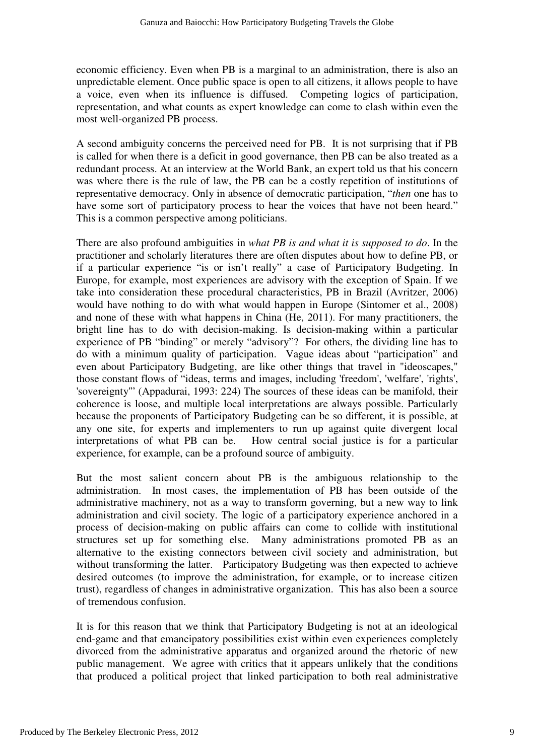economic efficiency. Even when PB is a marginal to an administration, there is also an unpredictable element. Once public space is open to all citizens, it allows people to have a voice, even when its influence is diffused. Competing logics of participation, representation, and what counts as expert knowledge can come to clash within even the most well-organized PB process.

A second ambiguity concerns the perceived need for PB. It is not surprising that if PB is called for when there is a deficit in good governance, then PB can be also treated as a redundant process. At an interview at the World Bank, an expert told us that his concern was where there is the rule of law, the PB can be a costly repetition of institutions of representative democracy. Only in absence of democratic participation, "*then* one has to have some sort of participatory process to hear the voices that have not been heard." This is a common perspective among politicians.

There are also profound ambiguities in *what PB is and what it is supposed to do*. In the practitioner and scholarly literatures there are often disputes about how to define PB, or if a particular experience "is or isn't really" a case of Participatory Budgeting. In Europe, for example, most experiences are advisory with the exception of Spain. If we take into consideration these procedural characteristics, PB in Brazil (Avritzer, 2006) would have nothing to do with what would happen in Europe (Sintomer et al., 2008) and none of these with what happens in China (He, 2011). For many practitioners, the bright line has to do with decision-making. Is decision-making within a particular experience of PB "binding" or merely "advisory"? For others, the dividing line has to do with a minimum quality of participation. Vague ideas about "participation" and even about Participatory Budgeting, are like other things that travel in "ideoscapes," those constant flows of "ideas, terms and images, including 'freedom', 'welfare', 'rights', 'sovereignty'" (Appadurai, 1993: 224) The sources of these ideas can be manifold, their coherence is loose, and multiple local interpretations are always possible. Particularly because the proponents of Participatory Budgeting can be so different, it is possible, at any one site, for experts and implementers to run up against quite divergent local interpretations of what PB can be. How central social justice is for a particular experience, for example, can be a profound source of ambiguity.

But the most salient concern about PB is the ambiguous relationship to the administration. In most cases, the implementation of PB has been outside of the administrative machinery, not as a way to transform governing, but a new way to link administration and civil society. The logic of a participatory experience anchored in a process of decision-making on public affairs can come to collide with institutional structures set up for something else. Many administrations promoted PB as an alternative to the existing connectors between civil society and administration, but without transforming the latter. Participatory Budgeting was then expected to achieve desired outcomes (to improve the administration, for example, or to increase citizen trust), regardless of changes in administrative organization. This has also been a source of tremendous confusion.

It is for this reason that we think that Participatory Budgeting is not at an ideological end-game and that emancipatory possibilities exist within even experiences completely divorced from the administrative apparatus and organized around the rhetoric of new public management. We agree with critics that it appears unlikely that the conditions that produced a political project that linked participation to both real administrative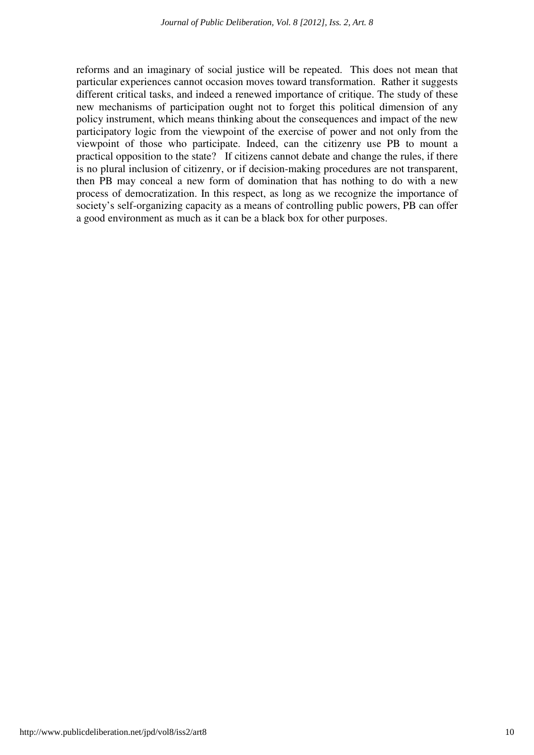reforms and an imaginary of social justice will be repeated. This does not mean that particular experiences cannot occasion moves toward transformation. Rather it suggests different critical tasks, and indeed a renewed importance of critique. The study of these new mechanisms of participation ought not to forget this political dimension of any policy instrument, which means thinking about the consequences and impact of the new participatory logic from the viewpoint of the exercise of power and not only from the viewpoint of those who participate. Indeed, can the citizenry use PB to mount a practical opposition to the state? If citizens cannot debate and change the rules, if there is no plural inclusion of citizenry, or if decision-making procedures are not transparent, then PB may conceal a new form of domination that has nothing to do with a new process of democratization. In this respect, as long as we recognize the importance of society's self-organizing capacity as a means of controlling public powers, PB can offer a good environment as much as it can be a black box for other purposes.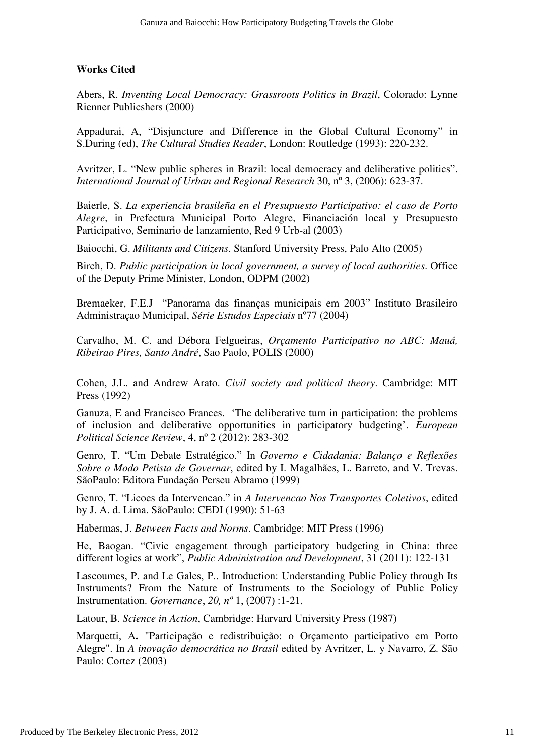#### **Works Cited**

Abers, R. *Inventing Local Democracy: Grassroots Politics in Brazil*, Colorado: Lynne Rienner Publicshers (2000)

Appadurai, A, "Disjuncture and Difference in the Global Cultural Economy" in S.During (ed), *The Cultural Studies Reader*, London: Routledge (1993): 220-232.

Avritzer, L. "New public spheres in Brazil: local democracy and deliberative politics". *International Journal of Urban and Regional Research* 30, nº 3, (2006): 623-37.

Baierle, S. *La experiencia brasileña en el Presupuesto Participativo: el caso de Porto Alegre*, in Prefectura Municipal Porto Alegre, Financiación local y Presupuesto Participativo, Seminario de lanzamiento, Red 9 Urb-al (2003)

Baiocchi, G. *Militants and Citizens*. Stanford University Press, Palo Alto (2005)

Birch, D. *Public participation in local government, a survey of local authorities*. Office of the Deputy Prime Minister, London, ODPM (2002)

Bremaeker, F.E.J "Panorama das finanças municipais em 2003" Instituto Brasileiro Administraçao Municipal, *Série Estudos Especiais* nº77 (2004)

Carvalho, M. C. and Débora Felgueiras, *Orçamento Participativo no ABC: Mauá, Ribeirao Pires, Santo André*, Sao Paolo, POLIS (2000)

Cohen, J.L. and Andrew Arato. *Civil society and political theory*. Cambridge: MIT Press (1992)

Ganuza, E and Francisco Frances. 'The deliberative turn in participation: the problems of inclusion and deliberative opportunities in participatory budgeting'. *European Political Science Review*, 4, nº 2 (2012): 283-302

Genro, T. "Um Debate Estratégico." In *Governo e Cidadania: Balanço e Reflexões Sobre o Modo Petista de Governar*, edited by I. Magalhães, L. Barreto, and V. Trevas. SãoPaulo: Editora Fundação Perseu Abramo (1999)

Genro, T. "Licoes da Intervencao." in *A Intervencao Nos Transportes Coletivos*, edited by J. A. d. Lima. SãoPaulo: CEDI (1990): 51-63

Habermas, J. *Between Facts and Norms*. Cambridge: MIT Press (1996)

He, Baogan. "Civic engagement through participatory budgeting in China: three different logics at work", *Public Administration and Development*, 31 (2011): 122-131

Lascoumes, P. and Le Gales, P.. Introduction: Understanding Public Policy through Its Instruments? From the Nature of Instruments to the Sociology of Public Policy Instrumentation. *Governance*, *20, nº* 1, (2007) :1-21.

Latour, B. *Science in Action*, Cambridge: Harvard University Press (1987)

Marquetti, A**.** "Participação e redistribuição: o Orçamento participativo em Porto Alegre". In *A inovação democrática no Brasil* edited by Avritzer, L. y Navarro, Z. São Paulo: Cortez (2003)